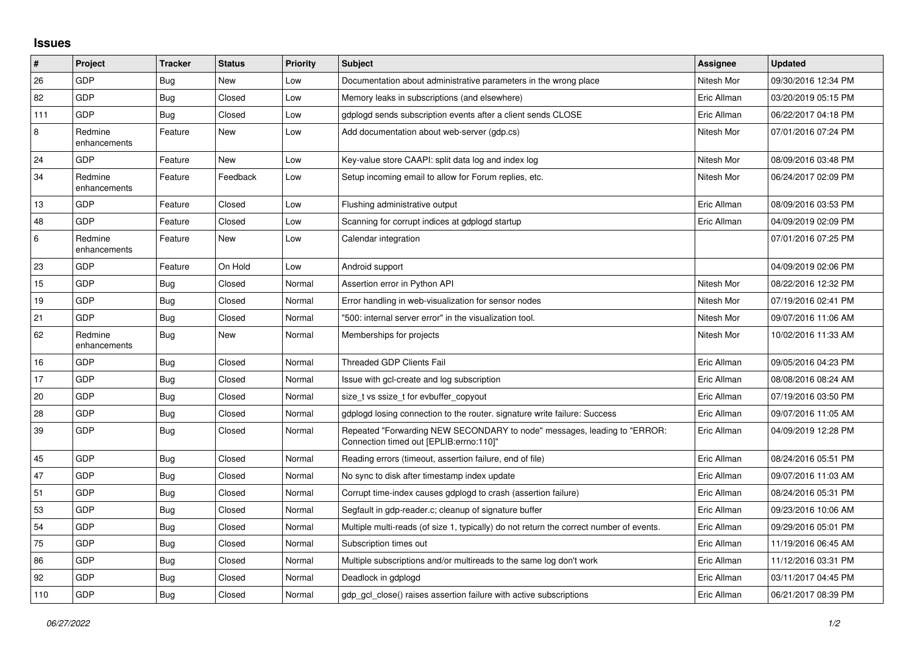## **Issues**

| $\vert$ # | Project                 | <b>Tracker</b> | <b>Status</b> | <b>Priority</b> | <b>Subject</b>                                                                                                      | Assignee    | <b>Updated</b>      |
|-----------|-------------------------|----------------|---------------|-----------------|---------------------------------------------------------------------------------------------------------------------|-------------|---------------------|
| 26        | GDP                     | Bug            | New           | Low             | Documentation about administrative parameters in the wrong place                                                    | Nitesh Mor  | 09/30/2016 12:34 PM |
| 82        | GDP                     | Bug            | Closed        | Low             | Memory leaks in subscriptions (and elsewhere)                                                                       | Eric Allman | 03/20/2019 05:15 PM |
| 111       | GDP                     | Bug            | Closed        | Low             | gdplogd sends subscription events after a client sends CLOSE                                                        | Eric Allman | 06/22/2017 04:18 PM |
| 8         | Redmine<br>enhancements | Feature        | <b>New</b>    | Low             | Add documentation about web-server (gdp.cs)                                                                         | Nitesh Mor  | 07/01/2016 07:24 PM |
| 24        | <b>GDP</b>              | Feature        | <b>New</b>    | Low             | Key-value store CAAPI: split data log and index log                                                                 | Nitesh Mor  | 08/09/2016 03:48 PM |
| 34        | Redmine<br>enhancements | Feature        | Feedback      | Low             | Setup incoming email to allow for Forum replies, etc.                                                               | Nitesh Mor  | 06/24/2017 02:09 PM |
| 13        | GDP                     | Feature        | Closed        | Low             | Flushing administrative output                                                                                      | Eric Allman | 08/09/2016 03:53 PM |
| 48        | GDP                     | Feature        | Closed        | Low             | Scanning for corrupt indices at gdplogd startup                                                                     | Eric Allman | 04/09/2019 02:09 PM |
| $\,6\,$   | Redmine<br>enhancements | Feature        | New           | Low             | Calendar integration                                                                                                |             | 07/01/2016 07:25 PM |
| 23        | GDP                     | Feature        | On Hold       | Low             | Android support                                                                                                     |             | 04/09/2019 02:06 PM |
| 15        | GDP                     | Bug            | Closed        | Normal          | Assertion error in Python API                                                                                       | Nitesh Mor  | 08/22/2016 12:32 PM |
| 19        | GDP                     | Bug            | Closed        | Normal          | Error handling in web-visualization for sensor nodes                                                                | Nitesh Mor  | 07/19/2016 02:41 PM |
| 21        | GDP                     | <b>Bug</b>     | Closed        | Normal          | "500: internal server error" in the visualization tool.                                                             | Nitesh Mor  | 09/07/2016 11:06 AM |
| 62        | Redmine<br>enhancements | <b>Bug</b>     | <b>New</b>    | Normal          | Memberships for projects                                                                                            | Nitesh Mor  | 10/02/2016 11:33 AM |
| 16        | GDP                     | Bug            | Closed        | Normal          | Threaded GDP Clients Fail                                                                                           | Eric Allman | 09/05/2016 04:23 PM |
| 17        | <b>GDP</b>              | Bug            | Closed        | Normal          | Issue with gcl-create and log subscription                                                                          | Eric Allman | 08/08/2016 08:24 AM |
| 20        | GDP                     | <b>Bug</b>     | Closed        | Normal          | size t vs ssize t for evbuffer copyout                                                                              | Eric Allman | 07/19/2016 03:50 PM |
| 28        | GDP                     | Bug            | Closed        | Normal          | gdplogd losing connection to the router, signature write failure: Success                                           | Eric Allman | 09/07/2016 11:05 AM |
| 39        | <b>GDP</b>              | Bug            | Closed        | Normal          | Repeated "Forwarding NEW SECONDARY to node" messages, leading to "ERROR:<br>Connection timed out [EPLIB:errno:110]" | Eric Allman | 04/09/2019 12:28 PM |
| 45        | GDP                     | Bug            | Closed        | Normal          | Reading errors (timeout, assertion failure, end of file)                                                            | Eric Allman | 08/24/2016 05:51 PM |
| 47        | GDP                     | <b>Bug</b>     | Closed        | Normal          | No sync to disk after timestamp index update                                                                        | Eric Allman | 09/07/2016 11:03 AM |
| 51        | GDP                     | <b>Bug</b>     | Closed        | Normal          | Corrupt time-index causes gdplogd to crash (assertion failure)                                                      | Eric Allman | 08/24/2016 05:31 PM |
| 53        | GDP                     | <b>Bug</b>     | Closed        | Normal          | Segfault in gdp-reader.c; cleanup of signature buffer                                                               | Eric Allman | 09/23/2016 10:06 AM |
| 54        | GDP                     | Bug            | Closed        | Normal          | Multiple multi-reads (of size 1, typically) do not return the correct number of events.                             | Eric Allman | 09/29/2016 05:01 PM |
| 75        | GDP                     | Bug            | Closed        | Normal          | Subscription times out                                                                                              | Eric Allman | 11/19/2016 06:45 AM |
| 86        | GDP                     | Bug            | Closed        | Normal          | Multiple subscriptions and/or multireads to the same log don't work                                                 | Eric Allman | 11/12/2016 03:31 PM |
| 92        | GDP                     | Bug            | Closed        | Normal          | Deadlock in gdplogd                                                                                                 | Eric Allman | 03/11/2017 04:45 PM |
| 110       | GDP                     | <b>Bug</b>     | Closed        | Normal          | gdp gcl close() raises assertion failure with active subscriptions                                                  | Eric Allman | 06/21/2017 08:39 PM |